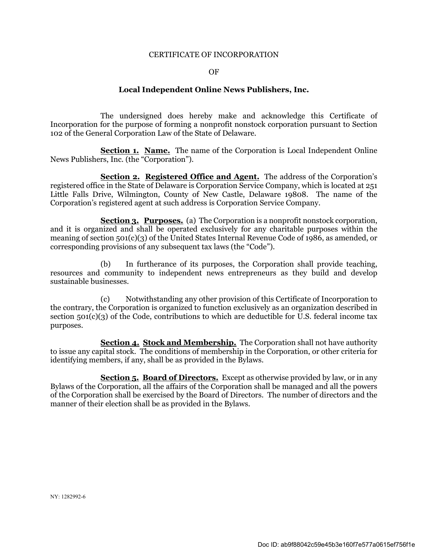### CERTIFICATE OF INCORPORATION

### OF

## **Local Independent Online News Publishers, Inc.**

The undersigned does hereby make and acknowledge this Certificate of Incorporation for the purpose of forming a nonprofit nonstock corporation pursuant to Section 102 of the General Corporation Law of the State of Delaware.

**Section 1. Name.** The name of the Corporation is Local Independent Online News Publishers, Inc. (the "Corporation").

**Section 2. Registered Office and Agent.** The address of the Corporation's registered office in the State of Delaware is Corporation Service Company, which is located at 251 Little Falls Drive, Wilmington, County of New Castle, Delaware 19808. The name of the Corporation's registered agent at such address is Corporation Service Company.

**Section 3. Purposes.** (a) The Corporation is a nonprofit nonstock corporation, and it is organized and shall be operated exclusively for any charitable purposes within the meaning of section 501(c)(3) of the United States Internal Revenue Code of 1986, as amended, or corresponding provisions of any subsequent tax laws (the "Code").

(b) In furtherance of its purposes, the Corporation shall provide teaching, resources and community to independent news entrepreneurs as they build and develop sustainable businesses.

(c) Notwithstanding any other provision of this Certificate of Incorporation to the contrary, the Corporation is organized to function exclusively as an organization described in section 501(c)(3) of the Code, contributions to which are deductible for U.S. federal income tax purposes.

**Section 4. Stock and Membership.** The Corporation shall not have authority to issue any capital stock. The conditions of membership in the Corporation, or other criteria for identifying members, if any, shall be as provided in the Bylaws.

**Section 5. Board of Directors.** Except as otherwise provided by law, or in any Bylaws of the Corporation, all the affairs of the Corporation shall be managed and all the powers of the Corporation shall be exercised by the Board of Directors. The number of directors and the manner of their election shall be as provided in the Bylaws.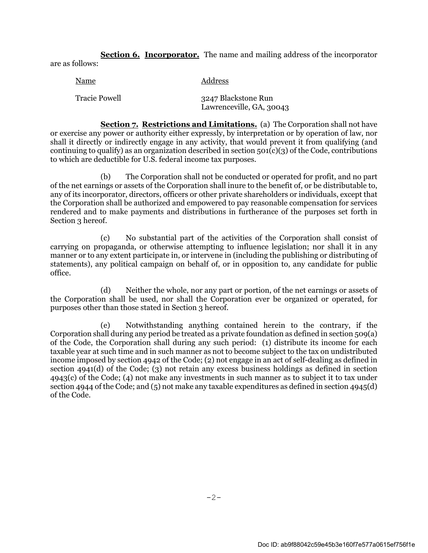**Section 6. Incorporator.** The name and mailing address of the incorporator are as follows:

| Name                 | Address                                         |
|----------------------|-------------------------------------------------|
| <b>Tracie Powell</b> | 3247 Blackstone Run<br>Lawrenceville, GA, 30043 |

**Section 7. Restrictions and Limitations.** (a) The Corporation shall not have or exercise any power or authority either expressly, by interpretation or by operation of law, nor shall it directly or indirectly engage in any activity, that would prevent it from qualifying (and continuing to qualify) as an organization described in section  $501(c)(3)$  of the Code, contributions to which are deductible for U.S. federal income tax purposes.

(b) The Corporation shall not be conducted or operated for profit, and no part of the net earnings or assets of the Corporation shall inure to the benefit of, or be distributable to, any of its incorporator, directors, officers or other private shareholders or individuals, except that the Corporation shall be authorized and empowered to pay reasonable compensation for services rendered and to make payments and distributions in furtherance of the purposes set forth in Section 3 hereof.

(c) No substantial part of the activities of the Corporation shall consist of carrying on propaganda, or otherwise attempting to influence legislation; nor shall it in any manner or to any extent participate in, or intervene in (including the publishing or distributing of statements), any political campaign on behalf of, or in opposition to, any candidate for public office.

(d) Neither the whole, nor any part or portion, of the net earnings or assets of the Corporation shall be used, nor shall the Corporation ever be organized or operated, for purposes other than those stated in Section 3 hereof.

(e) Notwithstanding anything contained herein to the contrary, if the Corporation shall during any period be treated as a private foundation as defined in section 509(a) of the Code, the Corporation shall during any such period: (1) distribute its income for each taxable year at such time and in such manner as not to become subject to the tax on undistributed income imposed by section 4942 of the Code; (2) not engage in an act of self-dealing as defined in section 4941(d) of the Code; (3) not retain any excess business holdings as defined in section 4943(c) of the Code; (4) not make any investments in such manner as to subject it to tax under section 4944 of the Code; and (5) not make any taxable expenditures as defined in section 4945(d) of the Code.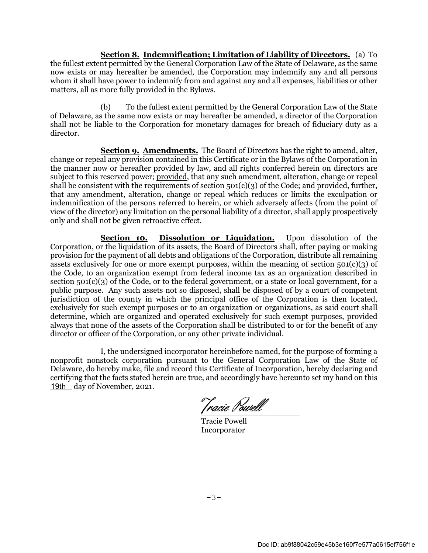**Section 8. Indemnification; Limitation of Liability of Directors.** (a) To the fullest extent permitted by the General Corporation Law of the State of Delaware, as the same now exists or may hereafter be amended, the Corporation may indemnify any and all persons whom it shall have power to indemnify from and against any and all expenses, liabilities or other matters, all as more fully provided in the Bylaws.

(b) To the fullest extent permitted by the General Corporation Law of the State of Delaware, as the same now exists or may hereafter be amended, a director of the Corporation shall not be liable to the Corporation for monetary damages for breach of fiduciary duty as a director.

**Section 9. Amendments.** The Board of Directors has the right to amend, alter, change or repeal any provision contained in this Certificate or in the Bylaws of the Corporation in the manner now or hereafter provided by law, and all rights conferred herein on directors are subject to this reserved power; provided, that any such amendment, alteration, change or repeal shall be consistent with the requirements of section  $501(c)(3)$  of the Code; and provided, further, that any amendment, alteration, change or repeal which reduces or limits the exculpation or indemnification of the persons referred to herein, or which adversely affects (from the point of view of the director) any limitation on the personal liability of a director, shall apply prospectively only and shall not be given retroactive effect.

**Section 10. Dissolution or Liquidation.** Upon dissolution of the Corporation, or the liquidation of its assets, the Board of Directors shall, after paying or making provision for the payment of all debts and obligations of the Corporation, distribute all remaining assets exclusively for one or more exempt purposes, within the meaning of section  $501(c)(3)$  of the Code, to an organization exempt from federal income tax as an organization described in section 501(c)(3) of the Code, or to the federal government, or a state or local government, for a public purpose. Any such assets not so disposed, shall be disposed of by a court of competent jurisdiction of the county in which the principal office of the Corporation is then located, exclusively for such exempt purposes or to an organization or organizations, as said court shall determine, which are organized and operated exclusively for such exempt purposes, provided always that none of the assets of the Corporation shall be distributed to or for the benefit of any director or officer of the Corporation, or any other private individual.

I, the undersigned incorporator hereinbefore named, for the purpose of forming a nonprofit nonstock corporation pursuant to the General Corporation Law of the State of Delaware, do hereby make, file and record this Certificate of Incorporation, hereby declaring and certifying that the facts stated herein are true, and accordingly have hereunto set my hand on this 19th day of November, 2021.

Tracie Powell

Tracie Powell Incorporator